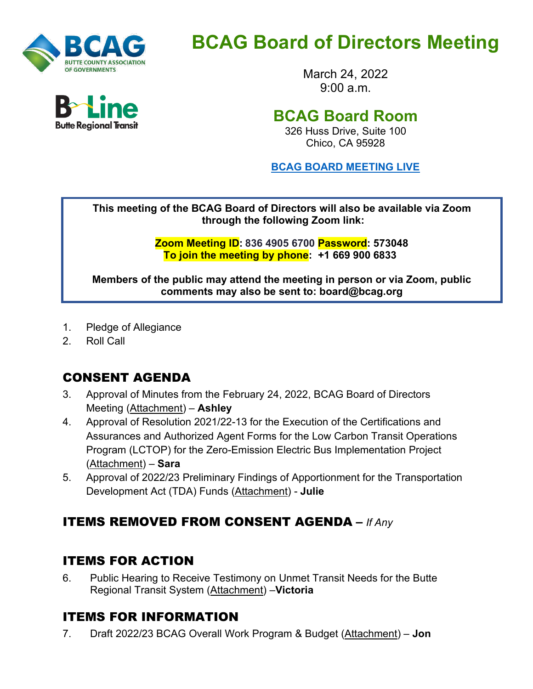

# **BCAG Board of Directors Meeting**

March 24, 2022  $9.00 a m$ 

# **BCAG Board Room**

326 Huss Drive, Suite 100 Chico, CA 95928

**BCAG BOARD [MEETING LIVE](https://us02web.zoom.us/j/81151432955?pwd=aWFHV0lLbG5SejhKdEJPZG9LSy96dz09)**

**This meeting of the BCAG Board of Directors will also be available via Zoom through the following Zoom link:**

> **Zoom Meeting ID: 836 4905 6700 Password: 573048 To join the meeting by phone: +1 669 900 6833**

**Members of the public may attend the meeting in person or via Zoom, public comments may also be sent to: board@bcag.org**

- 1. Pledge of Allegiance
- 2. Roll Call

## CONSENT AGENDA

- 3. Approval of Minutes from the February 24, 2022, BCAG Board of Directors Meeting (Attachment) – **Ashley**
- 4. Approval of Resolution 2021/22-13 for the Execution of the Certifications and Assurances and Authorized Agent Forms for the Low Carbon Transit Operations Program (LCTOP) for the Zero-Emission Electric Bus Implementation Project (Attachment) – **Sara**
- 5. Approval of 2022/23 Preliminary Findings of Apportionment for the Transportation Development Act (TDA) Funds (Attachment) - **Julie**

## ITEMS REMOVED FROM CONSENT AGENDA **–** *If Any*

#### ITEMS FOR ACTION

6. Public Hearing to Receive Testimony on Unmet Transit Needs for the Butte Regional Transit System (Attachment) –**Victoria**

#### ITEMS FOR INFORMATION

7. Draft 2022/23 BCAG Overall Work Program & Budget (Attachment) – **Jon**